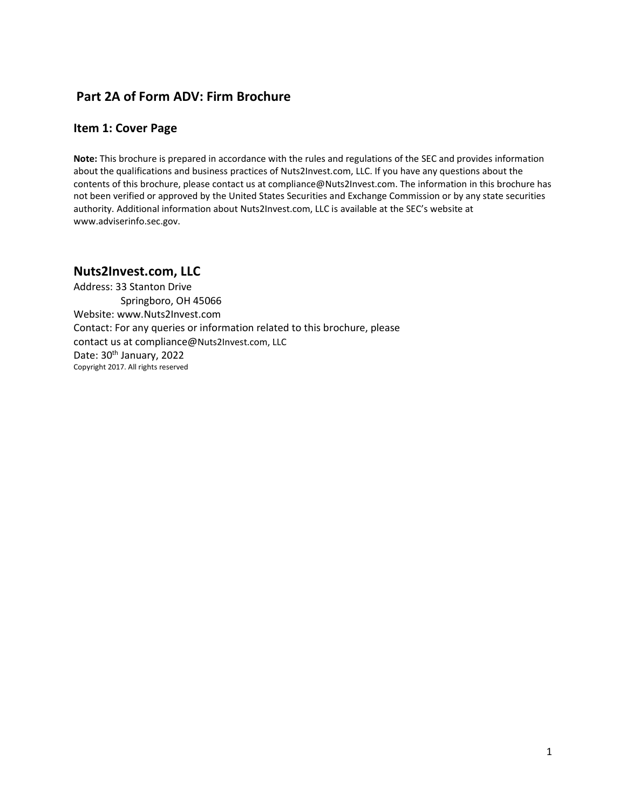## **Part 2A of Form ADV: Firm Brochure**

#### **Item 1: Cover Page**

**Note:** This brochure is prepared in accordance with the rules and regulations of the SEC and provides information about the qualifications and business practices of Nuts2Invest.com, LLC. If you have any questions about the contents of this brochure, please contact us at compliance@Nuts2Invest.com. The information in this brochure has not been verified or approved by the United States Securities and Exchange Commission or by any state securities authority. Additional information about Nuts2Invest.com, LLC is available at the SEC's website at www.adviserinfo.sec.gov.

## **Nuts2Invest.com, LLC**

Address: 33 Stanton Drive Springboro, OH 45066 Website: www.Nuts2Invest.com Contact: For any queries or information related to this brochure, please contact us at compliance@Nuts2Invest.com, LLC Date: 30<sup>th</sup> January, 2022 Copyright 2017. All rights reserved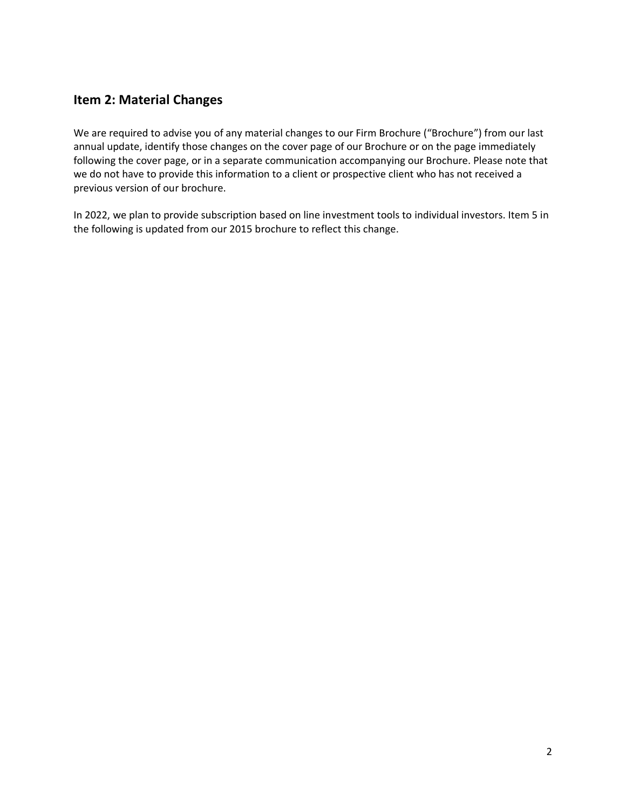## **Item 2: Material Changes**

We are required to advise you of any material changes to our Firm Brochure ("Brochure") from our last annual update, identify those changes on the cover page of our Brochure or on the page immediately following the cover page, or in a separate communication accompanying our Brochure. Please note that we do not have to provide this information to a client or prospective client who has not received a previous version of our brochure.

In 2022, we plan to provide subscription based on line investment tools to individual investors. Item 5 in the following is updated from our 2015 brochure to reflect this change.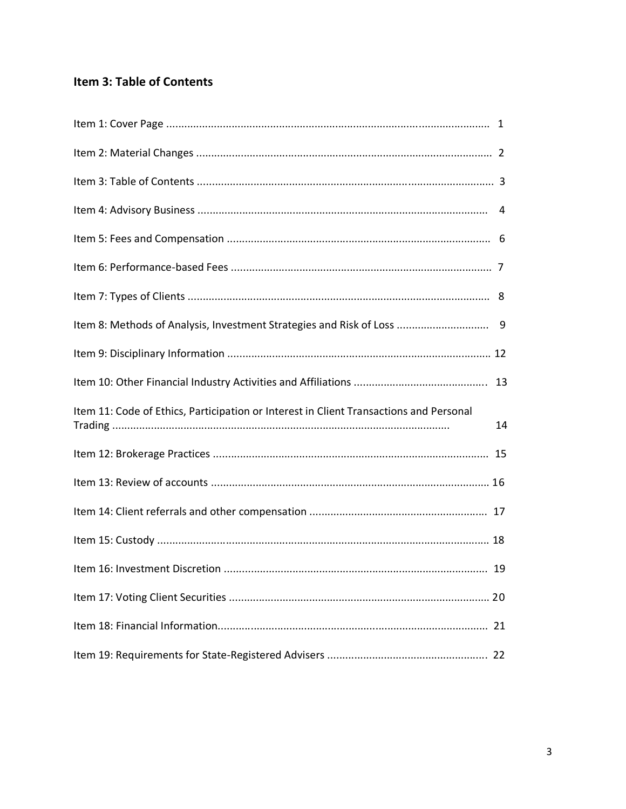# Item 3: Table of Contents

| Item 11: Code of Ethics, Participation or Interest in Client Transactions and Personal | 14 |
|----------------------------------------------------------------------------------------|----|
|                                                                                        |    |
|                                                                                        |    |
|                                                                                        |    |
|                                                                                        |    |
|                                                                                        |    |
|                                                                                        |    |
|                                                                                        |    |
|                                                                                        |    |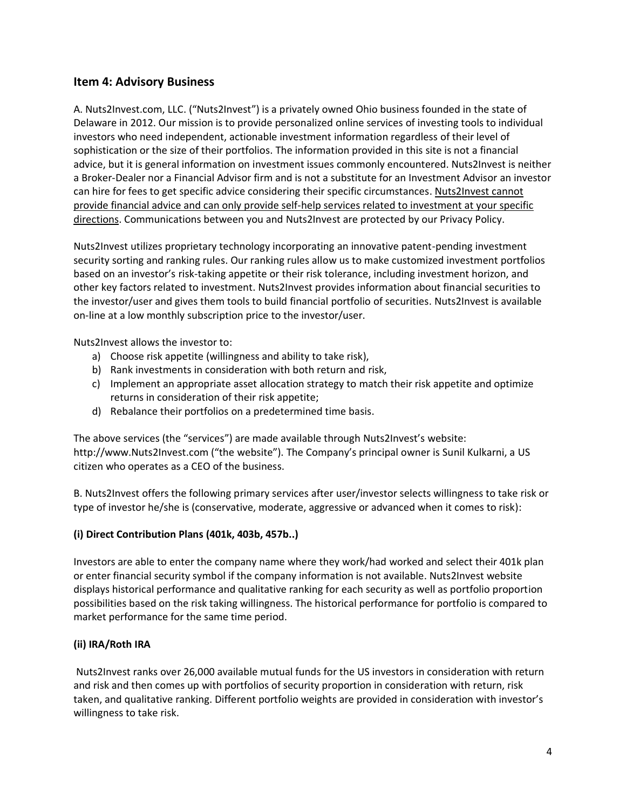### **Item 4: Advisory Business**

A. Nuts2Invest.com, LLC. ("Nuts2Invest") is a privately owned Ohio business founded in the state of Delaware in 2012. Our mission is to provide personalized online services of investing tools to individual investors who need independent, actionable investment information regardless of their level of sophistication or the size of their portfolios. The information provided in this site is not a financial advice, but it is general information on investment issues commonly encountered. Nuts2Invest is neither a Broker-Dealer nor a Financial Advisor firm and is not a substitute for an Investment Advisor an investor can hire for fees to get specific advice considering their specific circumstances. Nuts2Invest cannot provide financial advice and can only provide self-help services related to investment at your specific directions. Communications between you and Nuts2Invest are protected by our Privacy Policy.

Nuts2Invest utilizes proprietary technology incorporating an innovative patent-pending investment security sorting and ranking rules. Our ranking rules allow us to make customized investment portfolios based on an investor's risk-taking appetite or their risk tolerance, including investment horizon, and other key factors related to investment. Nuts2Invest provides information about financial securities to the investor/user and gives them tools to build financial portfolio of securities. Nuts2Invest is available on-line at a low monthly subscription price to the investor/user.

Nuts2Invest allows the investor to:

- a) Choose risk appetite (willingness and ability to take risk),
- b) Rank investments in consideration with both return and risk,
- c) Implement an appropriate asset allocation strategy to match their risk appetite and optimize returns in consideration of their risk appetite;
- d) Rebalance their portfolios on a predetermined time basis.

The above services (the "services") are made available through Nuts2Invest's website: http://www.Nuts2Invest.com ("the website"). The Company's principal owner is Sunil Kulkarni, a US citizen who operates as a CEO of the business.

B. Nuts2Invest offers the following primary services after user/investor selects willingness to take risk or type of investor he/she is (conservative, moderate, aggressive or advanced when it comes to risk):

#### **(i) Direct Contribution Plans (401k, 403b, 457b..)**

Investors are able to enter the company name where they work/had worked and select their 401k plan or enter financial security symbol if the company information is not available. Nuts2Invest website displays historical performance and qualitative ranking for each security as well as portfolio proportion possibilities based on the risk taking willingness. The historical performance for portfolio is compared to market performance for the same time period.

#### **(ii) IRA/Roth IRA**

Nuts2Invest ranks over 26,000 available mutual funds for the US investors in consideration with return and risk and then comes up with portfolios of security proportion in consideration with return, risk taken, and qualitative ranking. Different portfolio weights are provided in consideration with investor's willingness to take risk.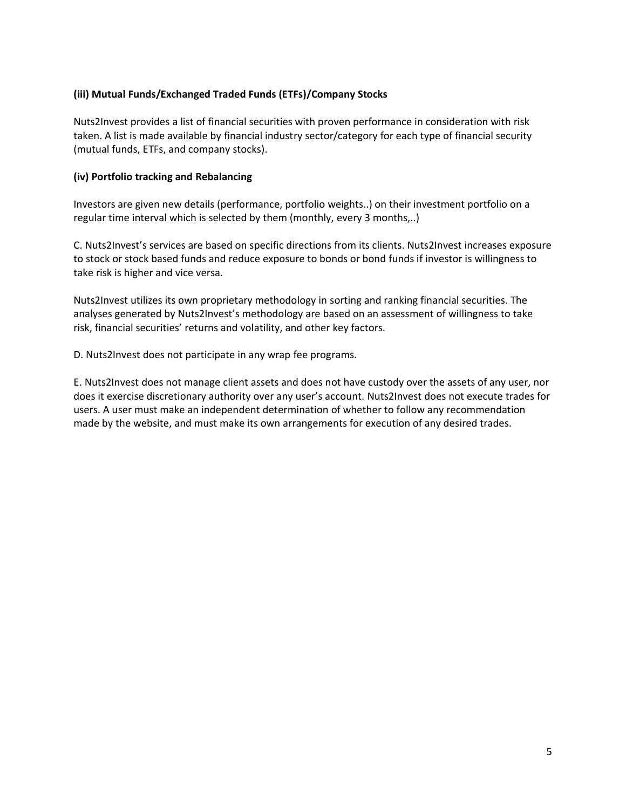#### **(iii) Mutual Funds/Exchanged Traded Funds (ETFs)/Company Stocks**

Nuts2Invest provides a list of financial securities with proven performance in consideration with risk taken. A list is made available by financial industry sector/category for each type of financial security (mutual funds, ETFs, and company stocks).

#### **(iv) Portfolio tracking and Rebalancing**

Investors are given new details (performance, portfolio weights..) on their investment portfolio on a regular time interval which is selected by them (monthly, every 3 months,..)

C. Nuts2Invest's services are based on specific directions from its clients. Nuts2Invest increases exposure to stock or stock based funds and reduce exposure to bonds or bond funds if investor is willingness to take risk is higher and vice versa.

Nuts2Invest utilizes its own proprietary methodology in sorting and ranking financial securities. The analyses generated by Nuts2Invest's methodology are based on an assessment of willingness to take risk, financial securities' returns and volatility, and other key factors.

D. Nuts2Invest does not participate in any wrap fee programs.

E. Nuts2Invest does not manage client assets and does not have custody over the assets of any user, nor does it exercise discretionary authority over any user's account. Nuts2Invest does not execute trades for users. A user must make an independent determination of whether to follow any recommendation made by the website, and must make its own arrangements for execution of any desired trades.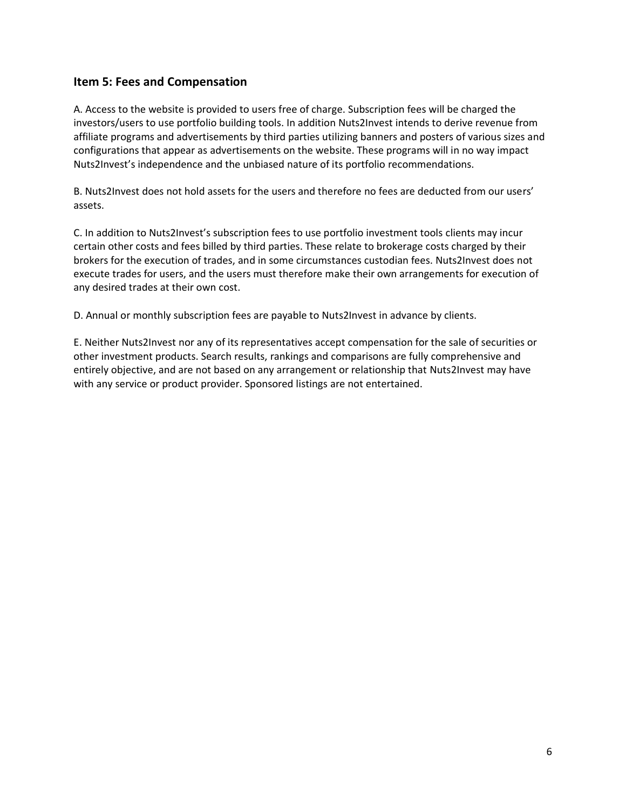### **Item 5: Fees and Compensation**

A. Access to the website is provided to users free of charge. Subscription fees will be charged the investors/users to use portfolio building tools. In addition Nuts2Invest intends to derive revenue from affiliate programs and advertisements by third parties utilizing banners and posters of various sizes and configurations that appear as advertisements on the website. These programs will in no way impact Nuts2Invest's independence and the unbiased nature of its portfolio recommendations.

B. Nuts2Invest does not hold assets for the users and therefore no fees are deducted from our users' assets.

C. In addition to Nuts2Invest's subscription fees to use portfolio investment tools clients may incur certain other costs and fees billed by third parties. These relate to brokerage costs charged by their brokers for the execution of trades, and in some circumstances custodian fees. Nuts2Invest does not execute trades for users, and the users must therefore make their own arrangements for execution of any desired trades at their own cost.

D. Annual or monthly subscription fees are payable to Nuts2Invest in advance by clients.

E. Neither Nuts2Invest nor any of its representatives accept compensation for the sale of securities or other investment products. Search results, rankings and comparisons are fully comprehensive and entirely objective, and are not based on any arrangement or relationship that Nuts2Invest may have with any service or product provider. Sponsored listings are not entertained.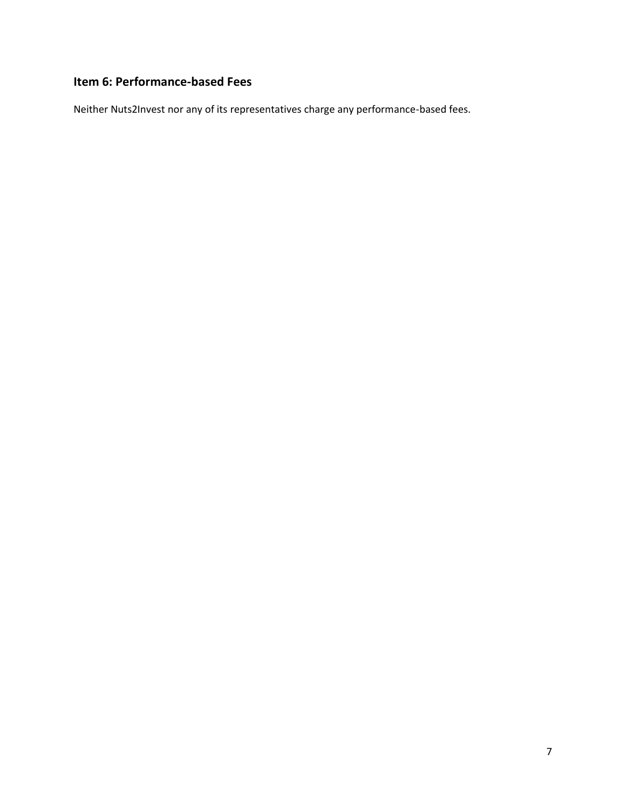# **Item 6: Performance-based Fees**

Neither Nuts2Invest nor any of its representatives charge any performance-based fees.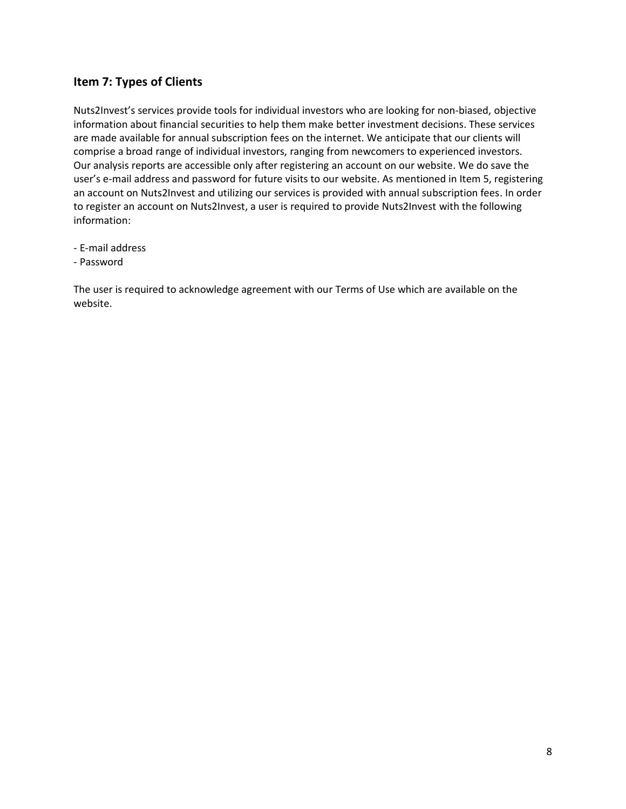### **Item 7: Types of Clients**

Nuts2Invest's services provide tools for individual investors who are looking for non-biased, objective information about financial securities to help them make better investment decisions. These services are made available for annual subscription fees on the internet. We anticipate that our clients will comprise a broad range of individual investors, ranging from newcomers to experienced investors. Our analysis reports are accessible only after registering an account on our website. We do save the user's e-mail address and password for future visits to our website. As mentioned in Item 5, registering an account on Nuts2Invest and utilizing our services is provided with annual subscription fees. In order to register an account on Nuts2Invest, a user is required to provide Nuts2Invest with the following information:

- E-mail address
- Password

The user is required to acknowledge agreement with our Terms of Use which are available on the website.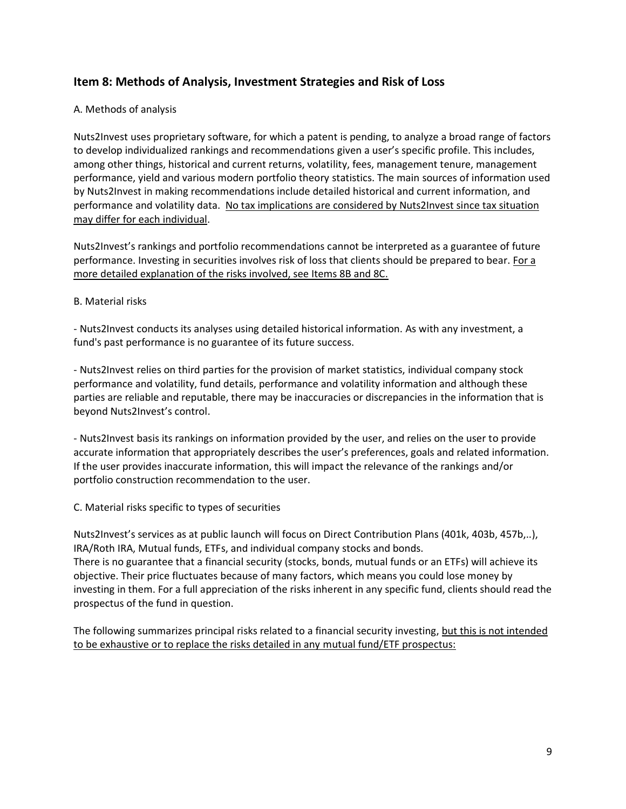### **Item 8: Methods of Analysis, Investment Strategies and Risk of Loss**

#### A. Methods of analysis

Nuts2Invest uses proprietary software, for which a patent is pending, to analyze a broad range of factors to develop individualized rankings and recommendations given a user's specific profile. This includes, among other things, historical and current returns, volatility, fees, management tenure, management performance, yield and various modern portfolio theory statistics. The main sources of information used by Nuts2Invest in making recommendations include detailed historical and current information, and performance and volatility data. No tax implications are considered by Nuts2Invest since tax situation may differ for each individual.

Nuts2Invest's rankings and portfolio recommendations cannot be interpreted as a guarantee of future performance. Investing in securities involves risk of loss that clients should be prepared to bear. For a more detailed explanation of the risks involved, see Items 8B and 8C.

#### B. Material risks

- Nuts2Invest conducts its analyses using detailed historical information. As with any investment, a fund's past performance is no guarantee of its future success.

- Nuts2Invest relies on third parties for the provision of market statistics, individual company stock performance and volatility, fund details, performance and volatility information and although these parties are reliable and reputable, there may be inaccuracies or discrepancies in the information that is beyond Nuts2Invest's control.

- Nuts2Invest basis its rankings on information provided by the user, and relies on the user to provide accurate information that appropriately describes the user's preferences, goals and related information. If the user provides inaccurate information, this will impact the relevance of the rankings and/or portfolio construction recommendation to the user.

C. Material risks specific to types of securities

Nuts2Invest's services as at public launch will focus on Direct Contribution Plans (401k, 403b, 457b,..), IRA/Roth IRA, Mutual funds, ETFs, and individual company stocks and bonds. There is no guarantee that a financial security (stocks, bonds, mutual funds or an ETFs) will achieve its objective. Their price fluctuates because of many factors, which means you could lose money by investing in them. For a full appreciation of the risks inherent in any specific fund, clients should read the prospectus of the fund in question.

The following summarizes principal risks related to a financial security investing, but this is not intended to be exhaustive or to replace the risks detailed in any mutual fund/ETF prospectus: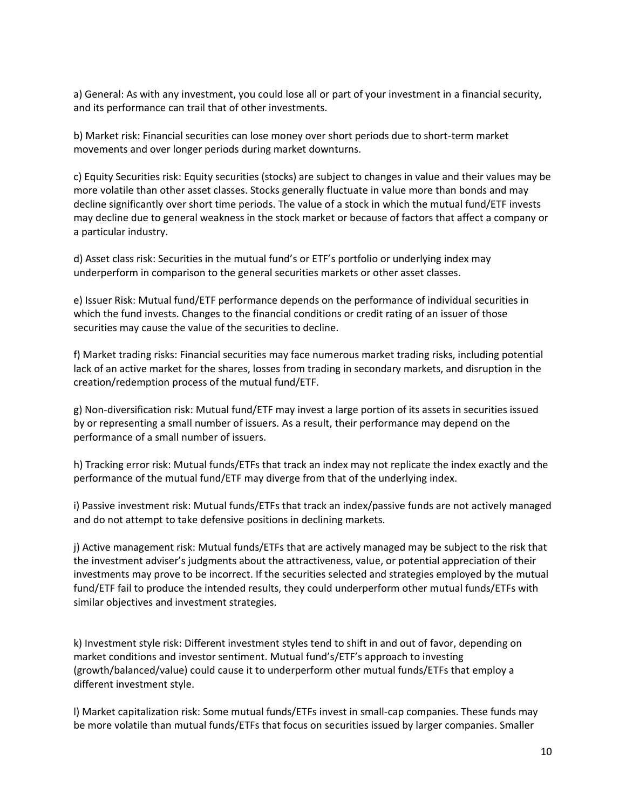a) General: As with any investment, you could lose all or part of your investment in a financial security, and its performance can trail that of other investments.

b) Market risk: Financial securities can lose money over short periods due to short-term market movements and over longer periods during market downturns.

c) Equity Securities risk: Equity securities (stocks) are subject to changes in value and their values may be more volatile than other asset classes. Stocks generally fluctuate in value more than bonds and may decline significantly over short time periods. The value of a stock in which the mutual fund/ETF invests may decline due to general weakness in the stock market or because of factors that affect a company or a particular industry.

d) Asset class risk: Securities in the mutual fund's or ETF's portfolio or underlying index may underperform in comparison to the general securities markets or other asset classes.

e) Issuer Risk: Mutual fund/ETF performance depends on the performance of individual securities in which the fund invests. Changes to the financial conditions or credit rating of an issuer of those securities may cause the value of the securities to decline.

f) Market trading risks: Financial securities may face numerous market trading risks, including potential lack of an active market for the shares, losses from trading in secondary markets, and disruption in the creation/redemption process of the mutual fund/ETF.

g) Non-diversification risk: Mutual fund/ETF may invest a large portion of its assets in securities issued by or representing a small number of issuers. As a result, their performance may depend on the performance of a small number of issuers.

h) Tracking error risk: Mutual funds/ETFs that track an index may not replicate the index exactly and the performance of the mutual fund/ETF may diverge from that of the underlying index.

i) Passive investment risk: Mutual funds/ETFs that track an index/passive funds are not actively managed and do not attempt to take defensive positions in declining markets.

j) Active management risk: Mutual funds/ETFs that are actively managed may be subject to the risk that the investment adviser's judgments about the attractiveness, value, or potential appreciation of their investments may prove to be incorrect. If the securities selected and strategies employed by the mutual fund/ETF fail to produce the intended results, they could underperform other mutual funds/ETFs with similar objectives and investment strategies.

k) Investment style risk: Different investment styles tend to shift in and out of favor, depending on market conditions and investor sentiment. Mutual fund's/ETF's approach to investing (growth/balanced/value) could cause it to underperform other mutual funds/ETFs that employ a different investment style.

l) Market capitalization risk: Some mutual funds/ETFs invest in small-cap companies. These funds may be more volatile than mutual funds/ETFs that focus on securities issued by larger companies. Smaller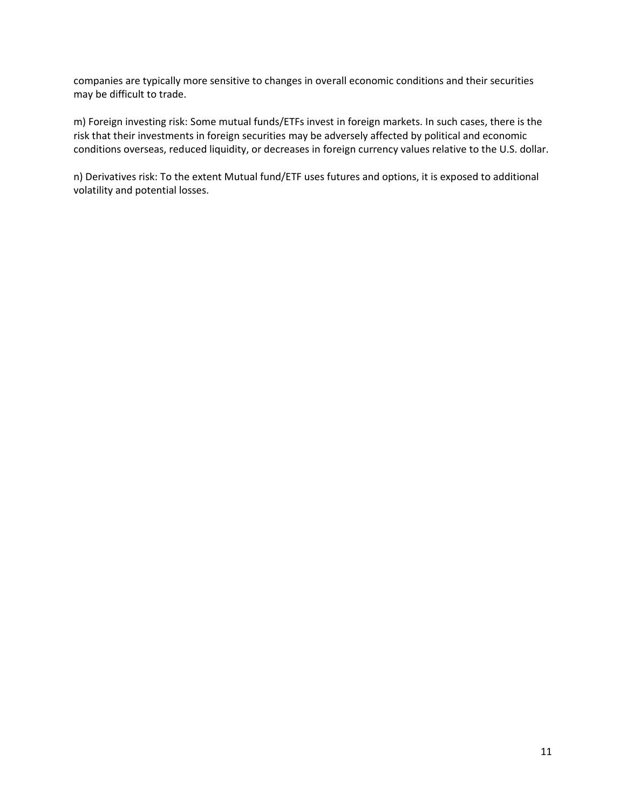companies are typically more sensitive to changes in overall economic conditions and their securities may be difficult to trade.

m) Foreign investing risk: Some mutual funds/ETFs invest in foreign markets. In such cases, there is the risk that their investments in foreign securities may be adversely affected by political and economic conditions overseas, reduced liquidity, or decreases in foreign currency values relative to the U.S. dollar.

n) Derivatives risk: To the extent Mutual fund/ETF uses futures and options, it is exposed to additional volatility and potential losses.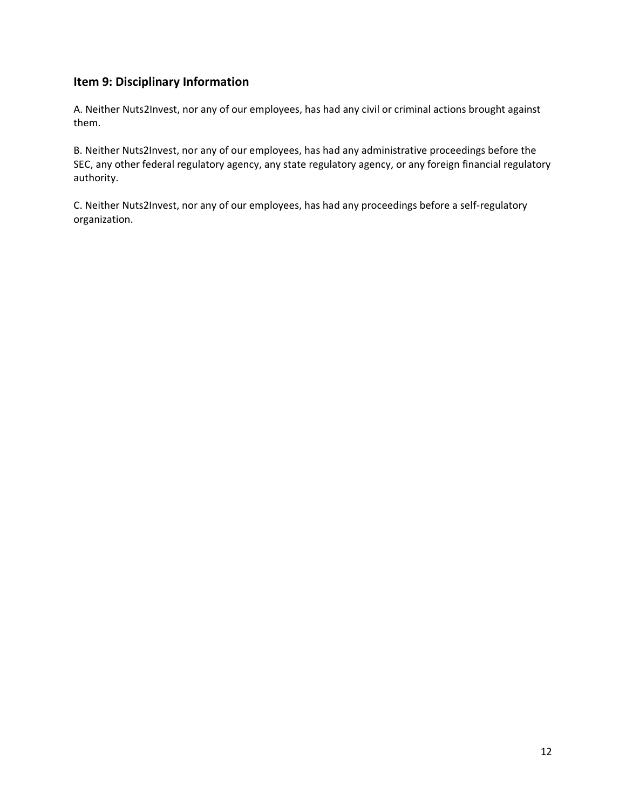## **Item 9: Disciplinary Information**

A. Neither Nuts2Invest, nor any of our employees, has had any civil or criminal actions brought against them.

B. Neither Nuts2Invest, nor any of our employees, has had any administrative proceedings before the SEC, any other federal regulatory agency, any state regulatory agency, or any foreign financial regulatory authority.

C. Neither Nuts2Invest, nor any of our employees, has had any proceedings before a self-regulatory organization.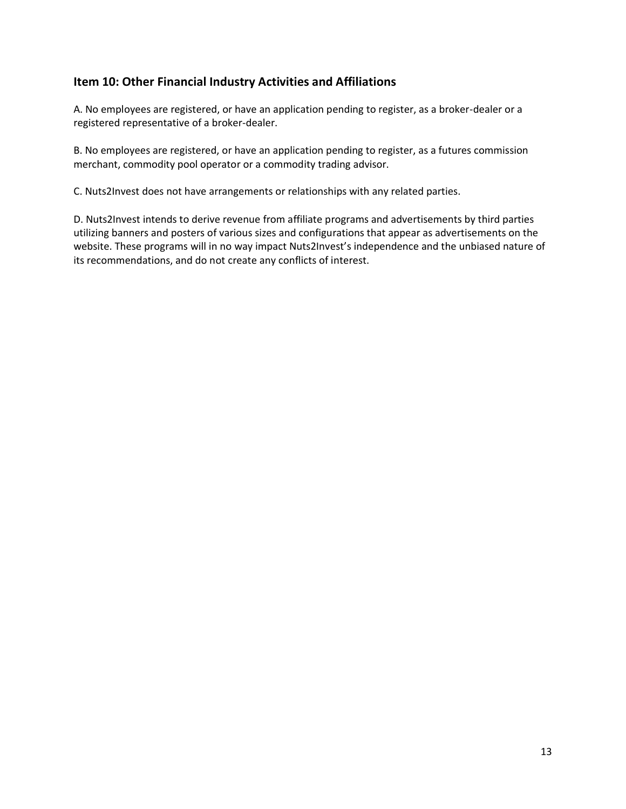### **Item 10: Other Financial Industry Activities and Affiliations**

A. No employees are registered, or have an application pending to register, as a broker-dealer or a registered representative of a broker-dealer.

B. No employees are registered, or have an application pending to register, as a futures commission merchant, commodity pool operator or a commodity trading advisor.

C. Nuts2Invest does not have arrangements or relationships with any related parties.

D. Nuts2Invest intends to derive revenue from affiliate programs and advertisements by third parties utilizing banners and posters of various sizes and configurations that appear as advertisements on the website. These programs will in no way impact Nuts2Invest's independence and the unbiased nature of its recommendations, and do not create any conflicts of interest.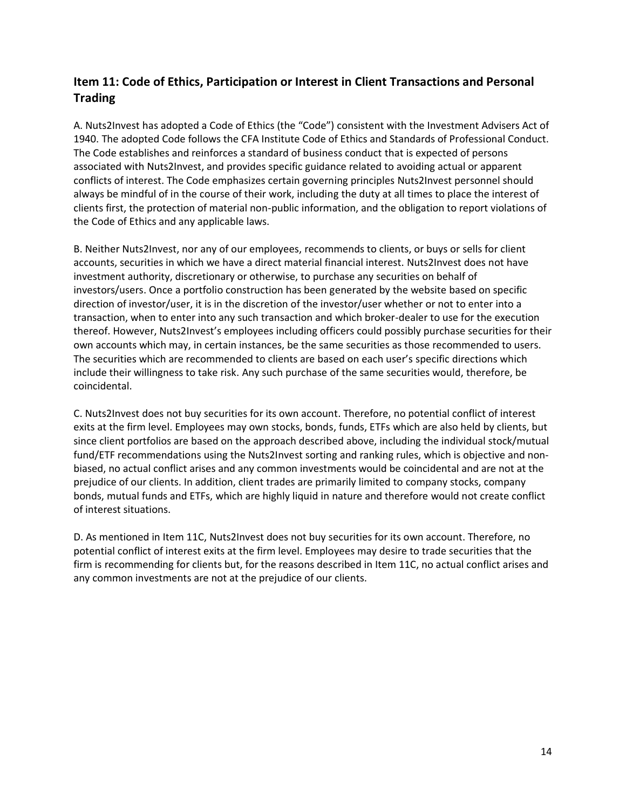## **Item 11: Code of Ethics, Participation or Interest in Client Transactions and Personal Trading**

A. Nuts2Invest has adopted a Code of Ethics (the "Code") consistent with the Investment Advisers Act of 1940. The adopted Code follows the CFA Institute Code of Ethics and Standards of Professional Conduct. The Code establishes and reinforces a standard of business conduct that is expected of persons associated with Nuts2Invest, and provides specific guidance related to avoiding actual or apparent conflicts of interest. The Code emphasizes certain governing principles Nuts2Invest personnel should always be mindful of in the course of their work, including the duty at all times to place the interest of clients first, the protection of material non-public information, and the obligation to report violations of the Code of Ethics and any applicable laws.

B. Neither Nuts2Invest, nor any of our employees, recommends to clients, or buys or sells for client accounts, securities in which we have a direct material financial interest. Nuts2Invest does not have investment authority, discretionary or otherwise, to purchase any securities on behalf of investors/users. Once a portfolio construction has been generated by the website based on specific direction of investor/user, it is in the discretion of the investor/user whether or not to enter into a transaction, when to enter into any such transaction and which broker-dealer to use for the execution thereof. However, Nuts2Invest's employees including officers could possibly purchase securities for their own accounts which may, in certain instances, be the same securities as those recommended to users. The securities which are recommended to clients are based on each user's specific directions which include their willingness to take risk. Any such purchase of the same securities would, therefore, be coincidental.

C. Nuts2Invest does not buy securities for its own account. Therefore, no potential conflict of interest exits at the firm level. Employees may own stocks, bonds, funds, ETFs which are also held by clients, but since client portfolios are based on the approach described above, including the individual stock/mutual fund/ETF recommendations using the Nuts2Invest sorting and ranking rules, which is objective and nonbiased, no actual conflict arises and any common investments would be coincidental and are not at the prejudice of our clients. In addition, client trades are primarily limited to company stocks, company bonds, mutual funds and ETFs, which are highly liquid in nature and therefore would not create conflict of interest situations.

D. As mentioned in Item 11C, Nuts2Invest does not buy securities for its own account. Therefore, no potential conflict of interest exits at the firm level. Employees may desire to trade securities that the firm is recommending for clients but, for the reasons described in Item 11C, no actual conflict arises and any common investments are not at the prejudice of our clients.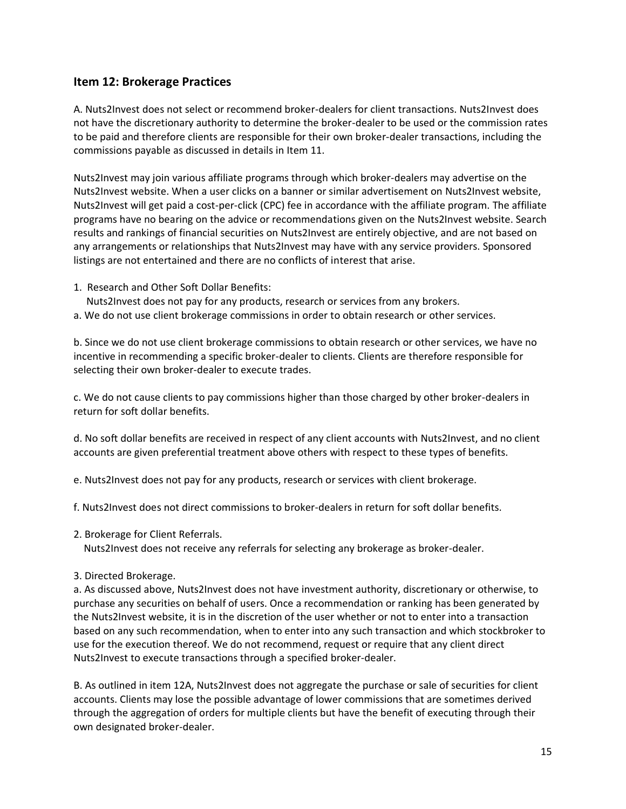### **Item 12: Brokerage Practices**

A. Nuts2Invest does not select or recommend broker-dealers for client transactions. Nuts2Invest does not have the discretionary authority to determine the broker-dealer to be used or the commission rates to be paid and therefore clients are responsible for their own broker-dealer transactions, including the commissions payable as discussed in details in Item 11.

Nuts2Invest may join various affiliate programs through which broker-dealers may advertise on the Nuts2Invest website. When a user clicks on a banner or similar advertisement on Nuts2Invest website, Nuts2Invest will get paid a cost-per-click (CPC) fee in accordance with the affiliate program. The affiliate programs have no bearing on the advice or recommendations given on the Nuts2Invest website. Search results and rankings of financial securities on Nuts2Invest are entirely objective, and are not based on any arrangements or relationships that Nuts2Invest may have with any service providers. Sponsored listings are not entertained and there are no conflicts of interest that arise.

- 1. Research and Other Soft Dollar Benefits:
	- Nuts2Invest does not pay for any products, research or services from any brokers.
- a. We do not use client brokerage commissions in order to obtain research or other services.

b. Since we do not use client brokerage commissions to obtain research or other services, we have no incentive in recommending a specific broker-dealer to clients. Clients are therefore responsible for selecting their own broker-dealer to execute trades.

c. We do not cause clients to pay commissions higher than those charged by other broker-dealers in return for soft dollar benefits.

d. No soft dollar benefits are received in respect of any client accounts with Nuts2Invest, and no client accounts are given preferential treatment above others with respect to these types of benefits.

e. Nuts2Invest does not pay for any products, research or services with client brokerage.

f. Nuts2Invest does not direct commissions to broker-dealers in return for soft dollar benefits.

2. Brokerage for Client Referrals.

Nuts2Invest does not receive any referrals for selecting any brokerage as broker-dealer.

3. Directed Brokerage.

a. As discussed above, Nuts2Invest does not have investment authority, discretionary or otherwise, to purchase any securities on behalf of users. Once a recommendation or ranking has been generated by the Nuts2Invest website, it is in the discretion of the user whether or not to enter into a transaction based on any such recommendation, when to enter into any such transaction and which stockbroker to use for the execution thereof. We do not recommend, request or require that any client direct Nuts2Invest to execute transactions through a specified broker-dealer.

B. As outlined in item 12A, Nuts2Invest does not aggregate the purchase or sale of securities for client accounts. Clients may lose the possible advantage of lower commissions that are sometimes derived through the aggregation of orders for multiple clients but have the benefit of executing through their own designated broker-dealer.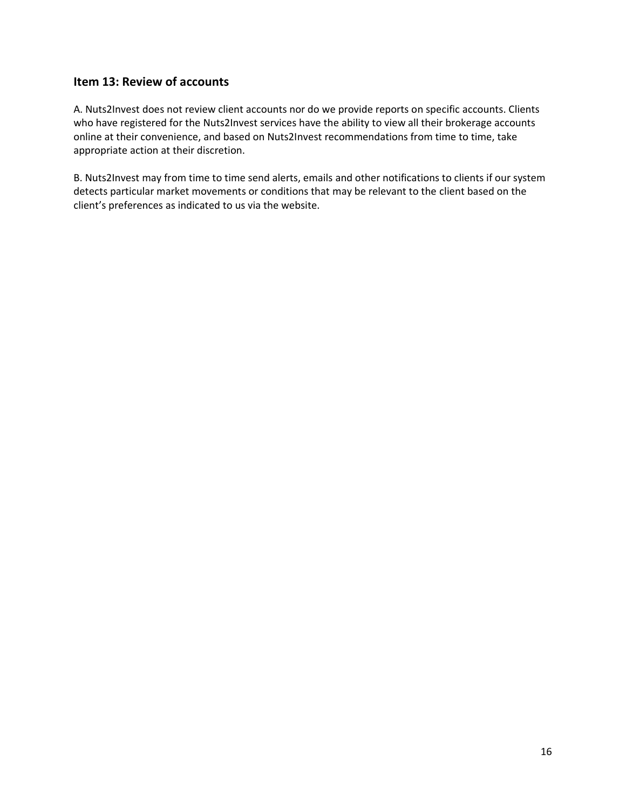## **Item 13: Review of accounts**

A. Nuts2Invest does not review client accounts nor do we provide reports on specific accounts. Clients who have registered for the Nuts2Invest services have the ability to view all their brokerage accounts online at their convenience, and based on Nuts2Invest recommendations from time to time, take appropriate action at their discretion.

B. Nuts2Invest may from time to time send alerts, emails and other notifications to clients if our system detects particular market movements or conditions that may be relevant to the client based on the client's preferences as indicated to us via the website.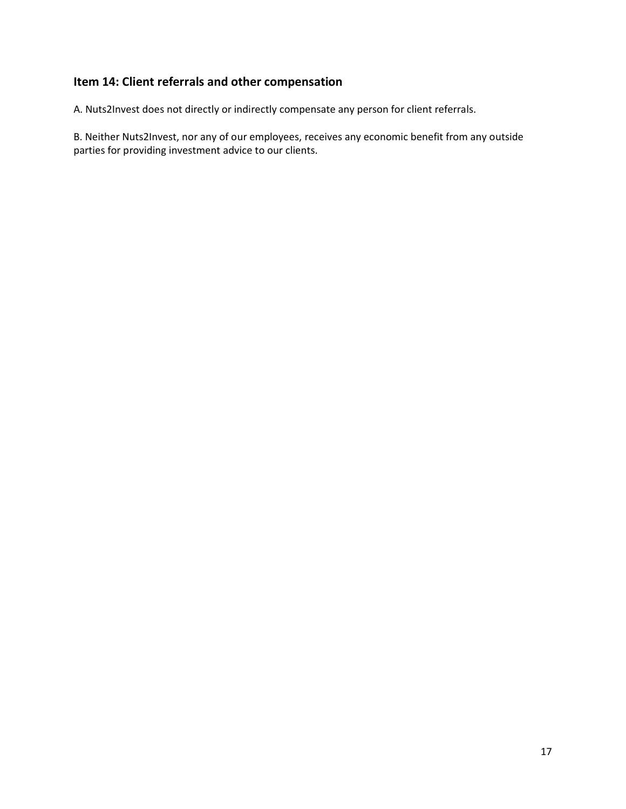# **Item 14: Client referrals and other compensation**

A. Nuts2Invest does not directly or indirectly compensate any person for client referrals.

B. Neither Nuts2Invest, nor any of our employees, receives any economic benefit from any outside parties for providing investment advice to our clients.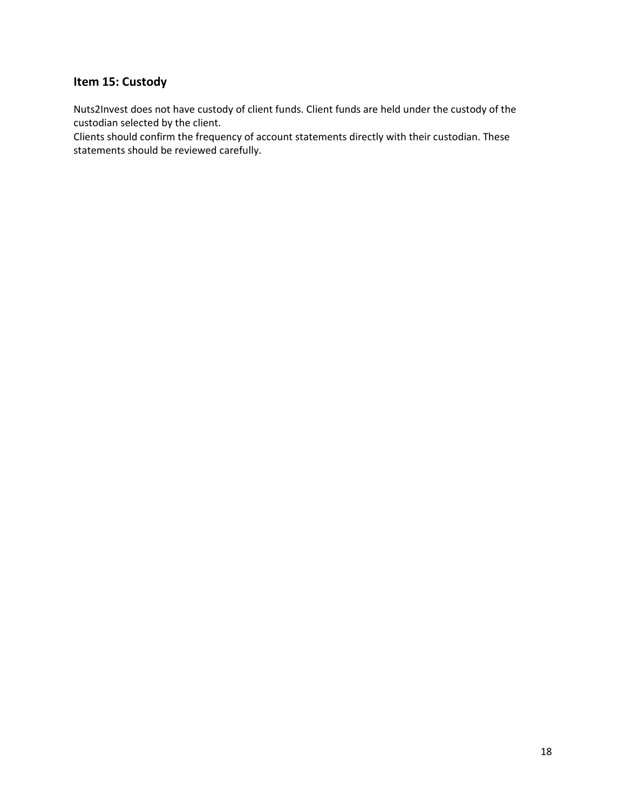### **Item 15: Custody**

Nuts2Invest does not have custody of client funds. Client funds are held under the custody of the custodian selected by the client.

Clients should confirm the frequency of account statements directly with their custodian. These statements should be reviewed carefully.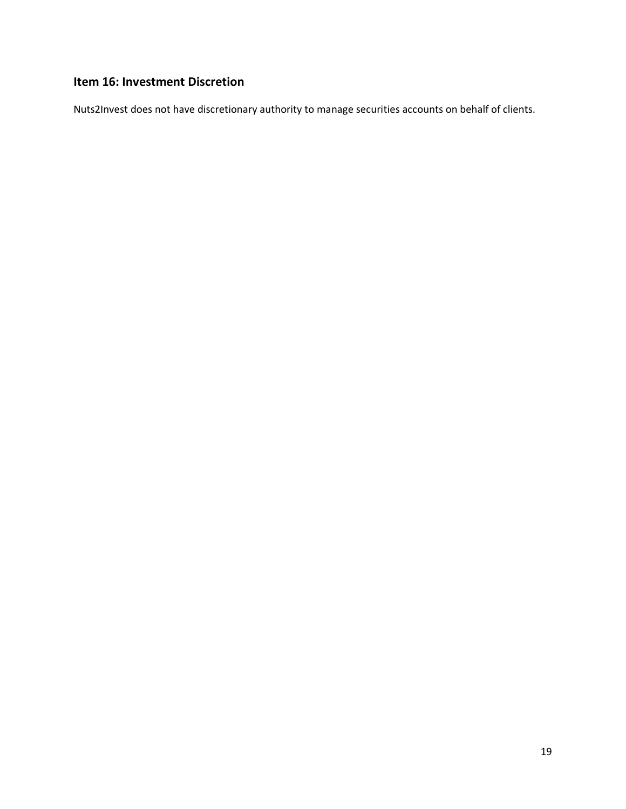# **Item 16: Investment Discretion**

Nuts2Invest does not have discretionary authority to manage securities accounts on behalf of clients.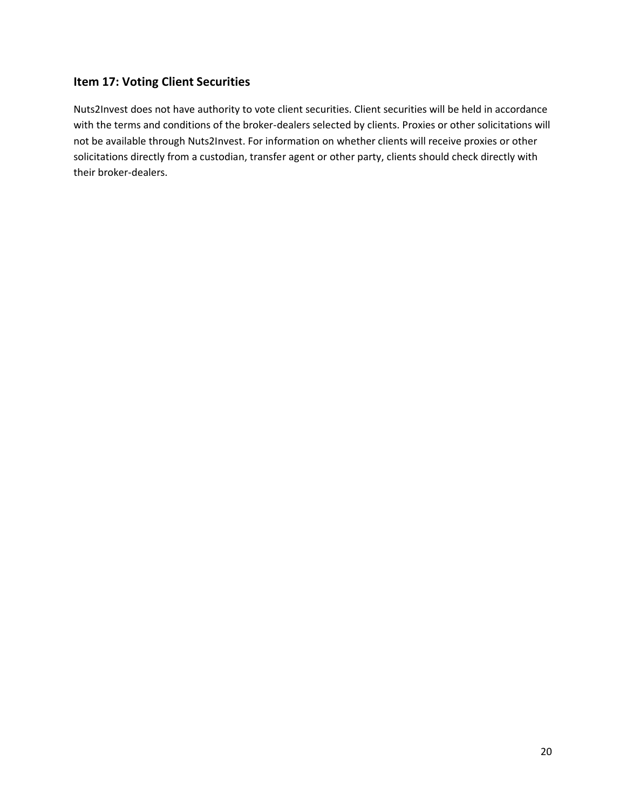## **Item 17: Voting Client Securities**

Nuts2Invest does not have authority to vote client securities. Client securities will be held in accordance with the terms and conditions of the broker-dealers selected by clients. Proxies or other solicitations will not be available through Nuts2Invest. For information on whether clients will receive proxies or other solicitations directly from a custodian, transfer agent or other party, clients should check directly with their broker-dealers.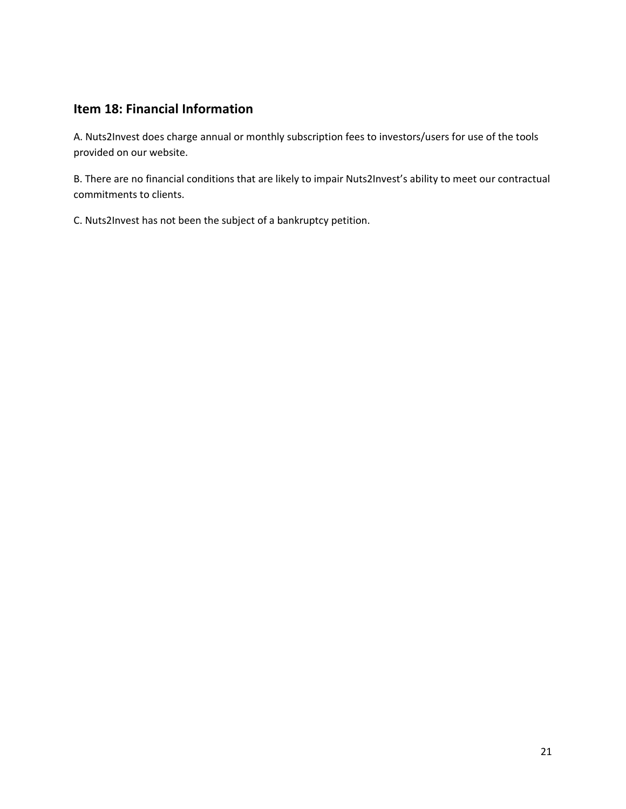# **Item 18: Financial Information**

A. Nuts2Invest does charge annual or monthly subscription fees to investors/users for use of the tools provided on our website.

B. There are no financial conditions that are likely to impair Nuts2Invest's ability to meet our contractual commitments to clients.

C. Nuts2Invest has not been the subject of a bankruptcy petition.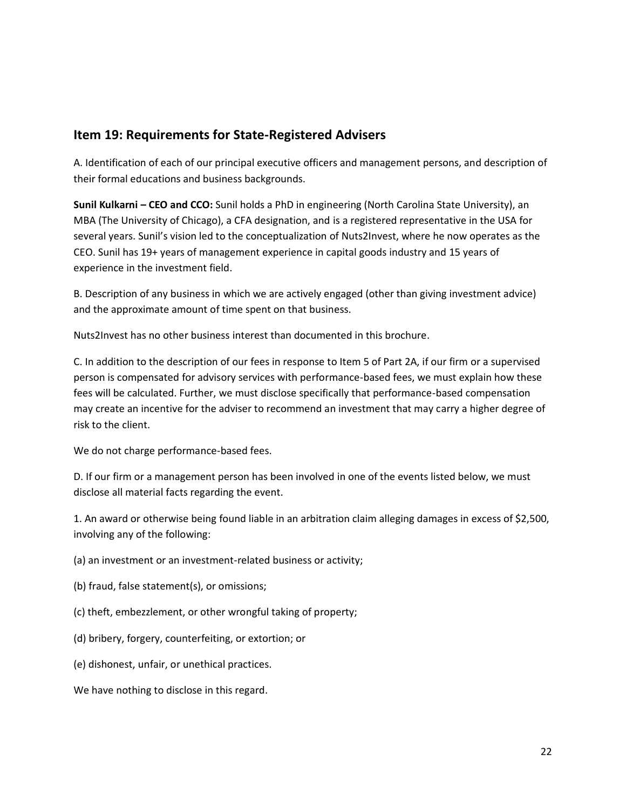## **Item 19: Requirements for State-Registered Advisers**

A. Identification of each of our principal executive officers and management persons, and description of their formal educations and business backgrounds.

**Sunil Kulkarni – CEO and CCO:** Sunil holds a PhD in engineering (North Carolina State University), an MBA (The University of Chicago), a CFA designation, and is a registered representative in the USA for several years. Sunil's vision led to the conceptualization of Nuts2Invest, where he now operates as the CEO. Sunil has 19+ years of management experience in capital goods industry and 15 years of experience in the investment field.

B. Description of any business in which we are actively engaged (other than giving investment advice) and the approximate amount of time spent on that business.

Nuts2Invest has no other business interest than documented in this brochure.

C. In addition to the description of our fees in response to Item 5 of Part 2A, if our firm or a supervised person is compensated for advisory services with performance-based fees, we must explain how these fees will be calculated. Further, we must disclose specifically that performance-based compensation may create an incentive for the adviser to recommend an investment that may carry a higher degree of risk to the client.

We do not charge performance-based fees.

D. If our firm or a management person has been involved in one of the events listed below, we must disclose all material facts regarding the event.

1. An award or otherwise being found liable in an arbitration claim alleging damages in excess of \$2,500, involving any of the following:

- (a) an investment or an investment-related business or activity;
- (b) fraud, false statement(s), or omissions;
- (c) theft, embezzlement, or other wrongful taking of property;
- (d) bribery, forgery, counterfeiting, or extortion; or
- (e) dishonest, unfair, or unethical practices.

We have nothing to disclose in this regard.